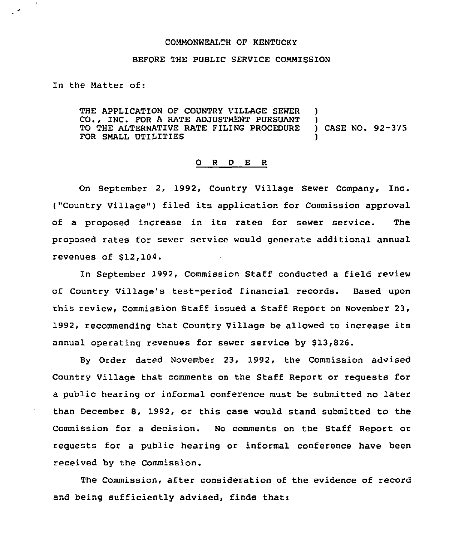## COMMONWEALTH QF KENTUCKY

## BEFORE THE PUBLIC SERVICE COMMISSION

In the Matter of:

THE APPLICATION OF COUNTRY VILLAGE SEWER CO., INC. FOR <sup>A</sup> RATE ADJUSTMENT PURSUANT TO THE ALTERNATIVE RATE FILING PROCEDURE FOR SMALL UTILITIES ) ) ) CASE NO. 92-323 )

## 0 <sup>R</sup> <sup>D</sup> E <sup>R</sup>

On September 2, 1992, Country Village Sewer Company, Inc. ("Country Village") filed its application for Commission approval of <sup>a</sup> proposed increase in its rates for sewer service. The proposed rates for sewer service would generate additional annual revenues of  $$12,104.$ 

In September 1992, Commission Staff conducted a field review of Country Village's test-period financial records. Based upon this review, Commission Staff issued a Staff Report on November 23, 1992, recommending that Country Village be allowed to increase its annual operating revenues for sewer service by \$13,826.

By Order dated November 23, 1992, the Commission advised Country Village that comments on the Staff Report or requests for a public hearing or informal conference must be submitted no later than December 8, 1992, or this case would stand submitted to the Commission for a decision. No comments on the Staff Report or requests for a public hearing or informal conference have been received by the Commission.

The Commission, after consideration of the evidence of record and being sufficiently advised, finds that: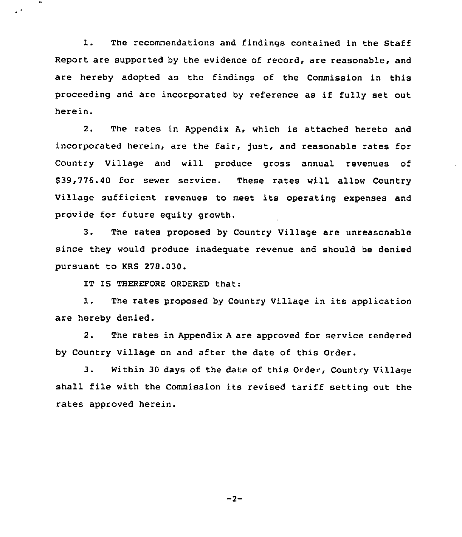1. The recommendations and findings contained in the Staff Report are supported by the evidence of record, are reasonable, and are hereby adopted as the findings of the Commission in this proceeding and are incorporated by reference as if fully set out herein.

2. The rates in Appendix A, which is attached hereto and incorporated herein, are the fair, just, and reasonable rates for Country Village and will produce gross annual revenues of \$ 39,776.40 for sewer service. These rates will allow Country Village sufficient revenues to meet its operating expenses and provide for future equity growth.

3. The rates proposed by Country Village are unreasonable since they would produce inadequate revenue and should be denied pursuant to KRS 278.030.

IT IS THEREFORE ORDERED that:

 $\mathcal{L}^{(4)}$ 

1. The rates proposed by Country Village in its application are hereby denied.

2. The rates in Appendix <sup>A</sup> are approved for service rendered by Country Village on and after the date of this Order.

3. Within <sup>30</sup> days of the date of this Order, Country Village shall file with the Commission its revised tariff setting out the rates approved herein.

 $-2-$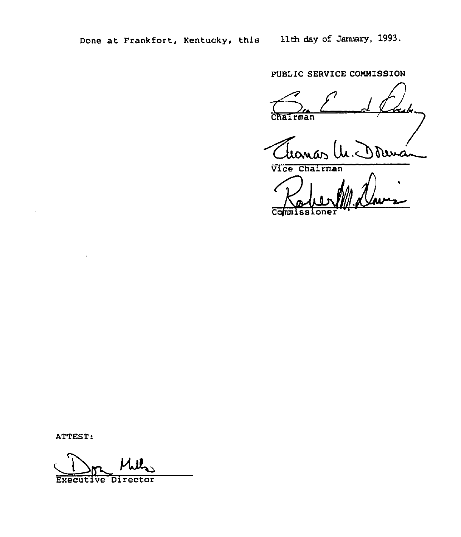PUBLIC SERVICE COMMISSION

**Tairman** 

Thomas M.J

Commissione 11 Davis

ATTEST:

Executive Director